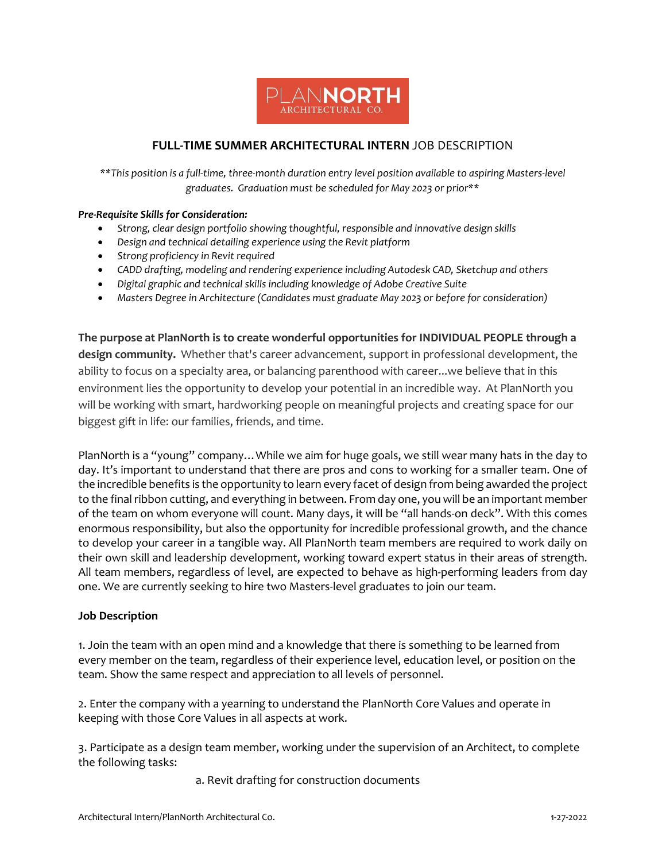

## **FULL-TIME SUMMER ARCHITECTURAL INTERN** JOB DESCRIPTION

*\*\*This position is a full-time, three-month duration entry level position available to aspiring Masters-level graduates. Graduation must be scheduled for May 2023 or prior\*\**

## *Pre-Requisite Skills for Consideration:*

- *Strong, clear design portfolio showing thoughtful, responsible and innovative design skills*
- *Design and technical detailing experience using the Revit platform*
- *Strong proficiency in Revit required*
- *CADD drafting, modeling and rendering experience including Autodesk CAD, Sketchup and others*
- *Digital graphic and technical skills including knowledge of Adobe Creative Suite*
- *Masters Degree in Architecture (Candidates must graduate May 2023 or before for consideration)*

**The purpose at PlanNorth is to create wonderful opportunities for INDIVIDUAL PEOPLE through a design community.** Whether that's career advancement, support in professional development, the ability to focus on a specialty area, or balancing parenthood with career...we believe that in this environment lies the opportunity to develop your potential in an incredible way. At PlanNorth you will be working with smart, hardworking people on meaningful projects and creating space for our biggest gift in life: our families, friends, and time.

PlanNorth is a "young" company…While we aim for huge goals, we still wear many hats in the day to day. It's important to understand that there are pros and cons to working for a smaller team. One of the incredible benefits is the opportunity to learn every facet of design from being awarded the project to the final ribbon cutting, and everything in between. From day one, you will be an important member of the team on whom everyone will count. Many days, it will be "all hands-on deck". With this comes enormous responsibility, but also the opportunity for incredible professional growth, and the chance to develop your career in a tangible way. All PlanNorth team members are required to work daily on their own skill and leadership development, working toward expert status in their areas of strength. All team members, regardless of level, are expected to behave as high-performing leaders from day one. We are currently seeking to hire two Masters-level graduates to join our team.

## **Job Description**

1. Join the team with an open mind and a knowledge that there is something to be learned from every member on the team, regardless of their experience level, education level, or position on the team. Show the same respect and appreciation to all levels of personnel.

2. Enter the company with a yearning to understand the PlanNorth Core Values and operate in keeping with those Core Values in all aspects at work.

3. Participate as a design team member, working under the supervision of an Architect, to complete the following tasks:

a. Revit drafting for construction documents